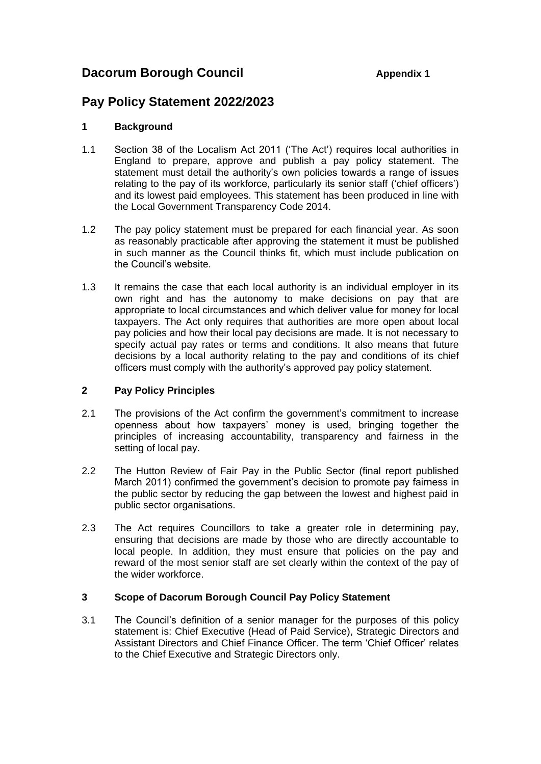# **Dacorum Borough Council Appendix 1**

# **Pay Policy Statement 2022/2023**

## **1 Background**

- 1.1 Section 38 of the Localism Act 2011 ('The Act') requires local authorities in England to prepare, approve and publish a pay policy statement. The statement must detail the authority's own policies towards a range of issues relating to the pay of its workforce, particularly its senior staff ('chief officers') and its lowest paid employees. This statement has been produced in line with the Local Government Transparency Code 2014.
- 1.2 The pay policy statement must be prepared for each financial year. As soon as reasonably practicable after approving the statement it must be published in such manner as the Council thinks fit, which must include publication on the Council's website.
- 1.3 It remains the case that each local authority is an individual employer in its own right and has the autonomy to make decisions on pay that are appropriate to local circumstances and which deliver value for money for local taxpayers. The Act only requires that authorities are more open about local pay policies and how their local pay decisions are made. It is not necessary to specify actual pay rates or terms and conditions. It also means that future decisions by a local authority relating to the pay and conditions of its chief officers must comply with the authority's approved pay policy statement.

## **2 Pay Policy Principles**

- 2.1 The provisions of the Act confirm the government's commitment to increase openness about how taxpayers' money is used, bringing together the principles of increasing accountability, transparency and fairness in the setting of local pay.
- 2.2 The Hutton Review of Fair Pay in the Public Sector (final report published March 2011) confirmed the government's decision to promote pay fairness in the public sector by reducing the gap between the lowest and highest paid in public sector organisations.
- 2.3 The Act requires Councillors to take a greater role in determining pay, ensuring that decisions are made by those who are directly accountable to local people. In addition, they must ensure that policies on the pay and reward of the most senior staff are set clearly within the context of the pay of the wider workforce.

## **3 Scope of Dacorum Borough Council Pay Policy Statement**

3.1 The Council's definition of a senior manager for the purposes of this policy statement is: Chief Executive (Head of Paid Service), Strategic Directors and Assistant Directors and Chief Finance Officer. The term 'Chief Officer' relates to the Chief Executive and Strategic Directors only.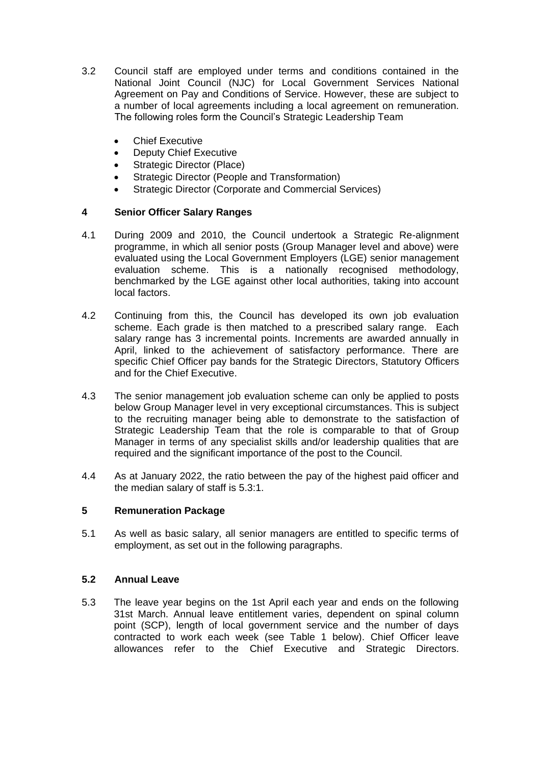- 3.2 Council staff are employed under terms and conditions contained in the National Joint Council (NJC) for Local Government Services National Agreement on Pay and Conditions of Service. However, these are subject to a number of local agreements including a local agreement on remuneration. The following roles form the Council's Strategic Leadership Team
	- Chief Executive
	- Deputy Chief Executive
	- Strategic Director (Place)
	- Strategic Director (People and Transformation)
	- Strategic Director (Corporate and Commercial Services)

## **4 Senior Officer Salary Ranges**

- 4.1 During 2009 and 2010, the Council undertook a Strategic Re-alignment programme, in which all senior posts (Group Manager level and above) were evaluated using the Local Government Employers (LGE) senior management evaluation scheme. This is a nationally recognised methodology, benchmarked by the LGE against other local authorities, taking into account local factors.
- 4.2 Continuing from this, the Council has developed its own job evaluation scheme. Each grade is then matched to a prescribed salary range. Each salary range has 3 incremental points. Increments are awarded annually in April, linked to the achievement of satisfactory performance. There are specific Chief Officer pay bands for the Strategic Directors, Statutory Officers and for the Chief Executive.
- 4.3 The senior management job evaluation scheme can only be applied to posts below Group Manager level in very exceptional circumstances. This is subject to the recruiting manager being able to demonstrate to the satisfaction of Strategic Leadership Team that the role is comparable to that of Group Manager in terms of any specialist skills and/or leadership qualities that are required and the significant importance of the post to the Council.
- 4.4 As at January 2022, the ratio between the pay of the highest paid officer and the median salary of staff is 5.3:1.

## **5 Remuneration Package**

5.1 As well as basic salary, all senior managers are entitled to specific terms of employment, as set out in the following paragraphs.

## **5.2 Annual Leave**

5.3 The leave year begins on the 1st April each year and ends on the following 31st March. Annual leave entitlement varies, dependent on spinal column point (SCP), length of local government service and the number of days contracted to work each week (see Table 1 below). Chief Officer leave allowances refer to the Chief Executive and Strategic Directors.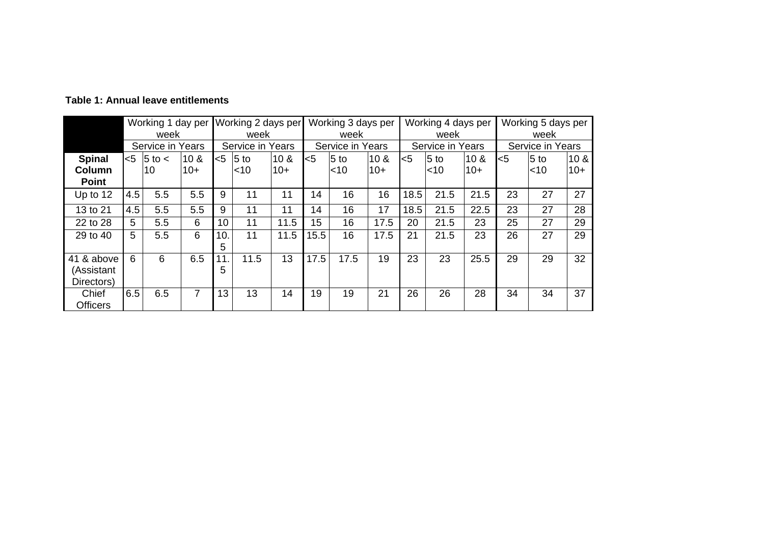|                                        | Working 1 day per<br>week |              |                 | Working 2 days per<br>week |        | Working 3 days per<br>week |       | Working 4 days per<br>week |                 |      | Working 5 days per<br>week |       |       |                 |                 |
|----------------------------------------|---------------------------|--------------|-----------------|----------------------------|--------|----------------------------|-------|----------------------------|-----------------|------|----------------------------|-------|-------|-----------------|-----------------|
|                                        | Service in Years          |              |                 | Service in Years           |        | Service in Years           |       | Service in Years           |                 |      | Service in Years           |       |       |                 |                 |
| <b>Spinal</b>                          | $<$ 5                     | $5$ to $\lt$ | 10 <sub>8</sub> | <5                         | $5$ to | 10 <sub>8</sub>            | $<$ 5 | $5$ to                     | 10 <sub>8</sub> | $5$  | $5$ to                     | 10 &  | $<$ 5 | 5 <sub>to</sub> | 10 <sub>8</sub> |
| Column                                 |                           | 10           | $10+$           |                            | $<$ 10 | $10+$                      |       | $<$ 10                     | $10+$           |      | $<$ 10                     | $10+$ |       | $<$ 10          | $10+$           |
| <b>Point</b>                           |                           |              |                 |                            |        |                            |       |                            |                 |      |                            |       |       |                 |                 |
| Up to 12                               | 4.5                       | 5.5          | 5.5             | 9                          | 11     | 11                         | 14    | 16                         | 16              | 18.5 | 21.5                       | 21.5  | 23    | 27              | 27              |
| 13 to 21                               | 4.5                       | 5.5          | 5.5             | 9                          | 11     | 11                         | 14    | 16                         | 17              | 18.5 | 21.5                       | 22.5  | 23    | 27              | 28              |
| 22 to 28                               | 5                         | 5.5          | 6               | 10 <sup>°</sup>            | 11     | 11.5                       | 15    | 16                         | 17.5            | 20   | 21.5                       | 23    | 25    | 27              | 29              |
| 29 to 40                               | 5                         | 5.5          | 6               | 10.<br>5                   | 11     | 11.5                       | 15.5  | 16                         | 17.5            | 21   | 21.5                       | 23    | 26    | 27              | 29              |
| 41 & above<br>(Assistant<br>Directors) | 6                         | 6            | 6.5             | 11.<br>5                   | 11.5   | 13                         | 17.5  | 17.5                       | 19              | 23   | 23                         | 25.5  | 29    | 29              | 32              |
| Chief<br><b>Officers</b>               | 6.5                       | 6.5          | $\overline{7}$  | 13                         | 13     | 14                         | 19    | 19                         | 21              | 26   | 26                         | 28    | 34    | 34              | 37              |

**Table 1: Annual leave entitlements**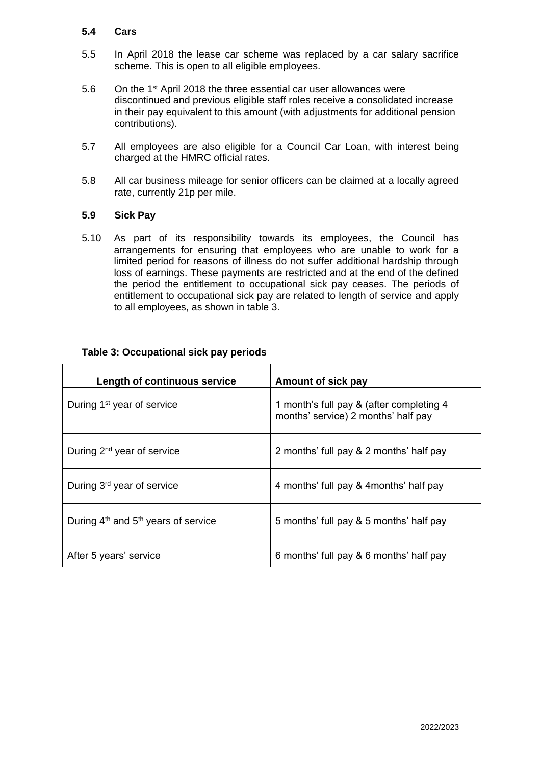#### **5.4 Cars**

- 5.5 In April 2018 the lease car scheme was replaced by a car salary sacrifice scheme. This is open to all eligible employees.
- 5.6 On the  $1<sup>st</sup>$  April 2018 the three essential car user allowances were discontinued and previous eligible staff roles receive a consolidated increase in their pay equivalent to this amount (with adjustments for additional pension contributions).
- 5.7 All employees are also eligible for a Council Car Loan, with interest being charged at the HMRC official rates.
- 5.8 All car business mileage for senior officers can be claimed at a locally agreed rate, currently 21p per mile.

#### **5.9 Sick Pay**

5.10 As part of its responsibility towards its employees, the Council has arrangements for ensuring that employees who are unable to work for a limited period for reasons of illness do not suffer additional hardship through loss of earnings. These payments are restricted and at the end of the defined the period the entitlement to occupational sick pay ceases. The periods of entitlement to occupational sick pay are related to length of service and apply to all employees, as shown in table 3.

| Length of continuous service            | Amount of sick pay                                                              |
|-----------------------------------------|---------------------------------------------------------------------------------|
| During 1 <sup>st</sup> year of service  | 1 month's full pay & (after completing 4<br>months' service) 2 months' half pay |
| During 2 <sup>nd</sup> year of service  | 2 months' full pay & 2 months' half pay                                         |
| During 3rd year of service              | 4 months' full pay & 4 months' half pay                                         |
| During $4th$ and $5th$ years of service | 5 months' full pay & 5 months' half pay                                         |
| After 5 years' service                  | 6 months' full pay & 6 months' half pay                                         |

## **Table 3: Occupational sick pay periods**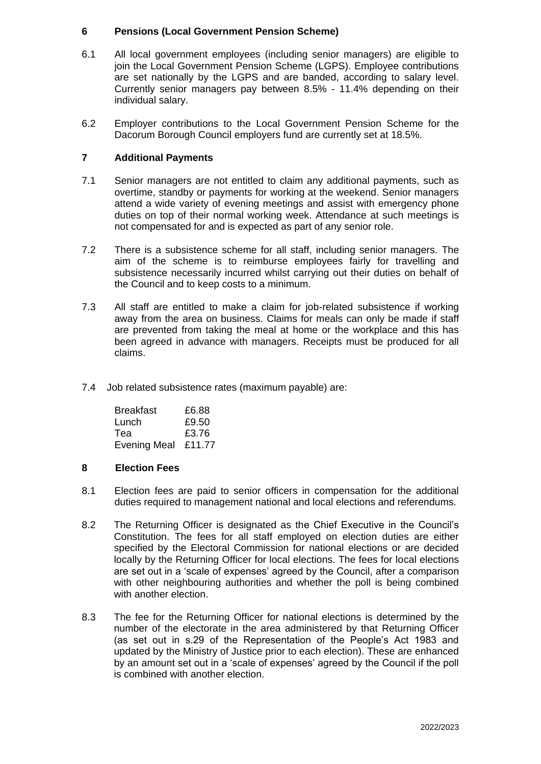## **6 Pensions (Local Government Pension Scheme)**

- 6.1 All local government employees (including senior managers) are eligible to join the Local Government Pension Scheme (LGPS). Employee contributions are set nationally by the LGPS and are banded, according to salary level. Currently senior managers pay between 8.5% - 11.4% depending on their individual salary.
- 6.2 Employer contributions to the Local Government Pension Scheme for the Dacorum Borough Council employers fund are currently set at 18.5%.

## **7 Additional Payments**

- 7.1 Senior managers are not entitled to claim any additional payments, such as overtime, standby or payments for working at the weekend. Senior managers attend a wide variety of evening meetings and assist with emergency phone duties on top of their normal working week. Attendance at such meetings is not compensated for and is expected as part of any senior role.
- 7.2 There is a subsistence scheme for all staff, including senior managers. The aim of the scheme is to reimburse employees fairly for travelling and subsistence necessarily incurred whilst carrying out their duties on behalf of the Council and to keep costs to a minimum.
- 7.3 All staff are entitled to make a claim for job-related subsistence if working away from the area on business. Claims for meals can only be made if staff are prevented from taking the meal at home or the workplace and this has been agreed in advance with managers. Receipts must be produced for all claims.
- 7.4 Job related subsistence rates (maximum payable) are:

| <b>Breakfast</b>    | £6.88  |
|---------------------|--------|
| Lunch               | £9.50  |
| Tea                 | £3.76  |
| <b>Evening Meal</b> | £11.77 |

## **8 Election Fees**

- 8.1 Election fees are paid to senior officers in compensation for the additional duties required to management national and local elections and referendums.
- 8.2 The Returning Officer is designated as the Chief Executive in the Council's Constitution. The fees for all staff employed on election duties are either specified by the Electoral Commission for national elections or are decided locally by the Returning Officer for local elections. The fees for local elections are set out in a 'scale of expenses' agreed by the Council, after a comparison with other neighbouring authorities and whether the poll is being combined with another election.
- 8.3 The fee for the Returning Officer for national elections is determined by the number of the electorate in the area administered by that Returning Officer (as set out in s.29 of the Representation of the People's Act 1983 and updated by the Ministry of Justice prior to each election). These are enhanced by an amount set out in a 'scale of expenses' agreed by the Council if the poll is combined with another election.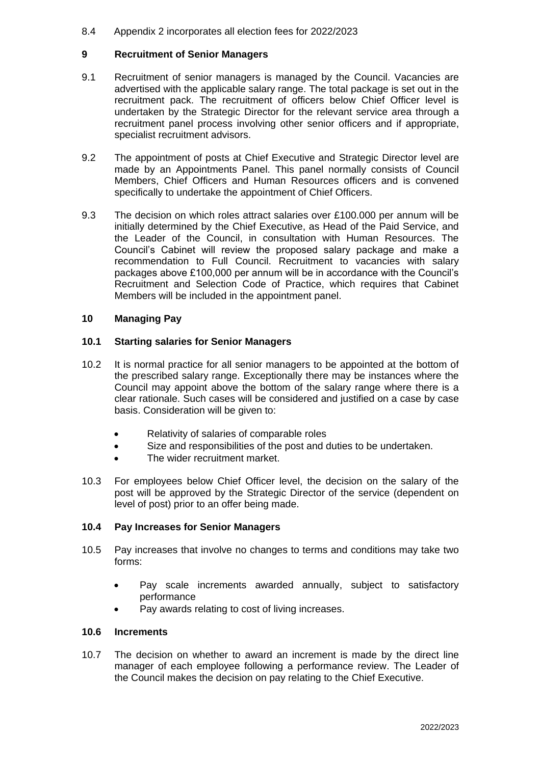#### 8.4 Appendix 2 incorporates all election fees for 2022/2023

## **9 Recruitment of Senior Managers**

- 9.1 Recruitment of senior managers is managed by the Council. Vacancies are advertised with the applicable salary range. The total package is set out in the recruitment pack. The recruitment of officers below Chief Officer level is undertaken by the Strategic Director for the relevant service area through a recruitment panel process involving other senior officers and if appropriate, specialist recruitment advisors.
- 9.2 The appointment of posts at Chief Executive and Strategic Director level are made by an Appointments Panel. This panel normally consists of Council Members, Chief Officers and Human Resources officers and is convened specifically to undertake the appointment of Chief Officers.
- 9.3 The decision on which roles attract salaries over £100.000 per annum will be initially determined by the Chief Executive, as Head of the Paid Service, and the Leader of the Council, in consultation with Human Resources. The Council's Cabinet will review the proposed salary package and make a recommendation to Full Council. Recruitment to vacancies with salary packages above £100,000 per annum will be in accordance with the Council's Recruitment and Selection Code of Practice, which requires that Cabinet Members will be included in the appointment panel.

#### **10 Managing Pay**

#### **10.1 Starting salaries for Senior Managers**

- 10.2 It is normal practice for all senior managers to be appointed at the bottom of the prescribed salary range. Exceptionally there may be instances where the Council may appoint above the bottom of the salary range where there is a clear rationale. Such cases will be considered and justified on a case by case basis. Consideration will be given to:
	- Relativity of salaries of comparable roles
	- Size and responsibilities of the post and duties to be undertaken.
	- The wider recruitment market.
- 10.3 For employees below Chief Officer level, the decision on the salary of the post will be approved by the Strategic Director of the service (dependent on level of post) prior to an offer being made.

#### **10.4 Pay Increases for Senior Managers**

- 10.5 Pay increases that involve no changes to terms and conditions may take two forms:
	- Pay scale increments awarded annually, subject to satisfactory performance
	- Pay awards relating to cost of living increases.

#### **10.6 Increments**

10.7 The decision on whether to award an increment is made by the direct line manager of each employee following a performance review. The Leader of the Council makes the decision on pay relating to the Chief Executive.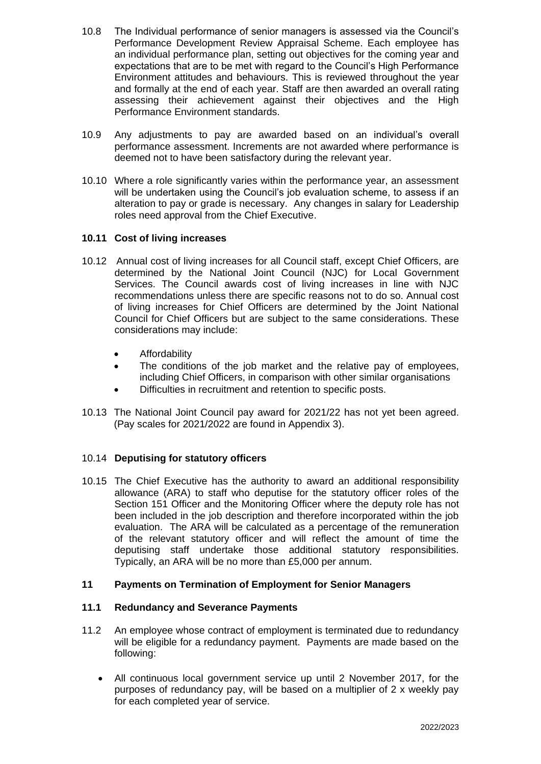- 10.8 The Individual performance of senior managers is assessed via the Council's Performance Development Review Appraisal Scheme. Each employee has an individual performance plan, setting out objectives for the coming year and expectations that are to be met with regard to the Council's High Performance Environment attitudes and behaviours. This is reviewed throughout the year and formally at the end of each year. Staff are then awarded an overall rating assessing their achievement against their objectives and the High Performance Environment standards.
- 10.9 Any adjustments to pay are awarded based on an individual's overall performance assessment. Increments are not awarded where performance is deemed not to have been satisfactory during the relevant year.
- 10.10 Where a role significantly varies within the performance year, an assessment will be undertaken using the Council's job evaluation scheme, to assess if an alteration to pay or grade is necessary. Any changes in salary for Leadership roles need approval from the Chief Executive.

## **10.11 Cost of living increases**

- 10.12 Annual cost of living increases for all Council staff, except Chief Officers, are determined by the National Joint Council (NJC) for Local Government Services. The Council awards cost of living increases in line with NJC recommendations unless there are specific reasons not to do so. Annual cost of living increases for Chief Officers are determined by the Joint National Council for Chief Officers but are subject to the same considerations. These considerations may include:
	- **•** Affordability
	- The conditions of the job market and the relative pay of employees, including Chief Officers, in comparison with other similar organisations
	- Difficulties in recruitment and retention to specific posts.
- 10.13 The National Joint Council pay award for 2021/22 has not yet been agreed. (Pay scales for 2021/2022 are found in Appendix 3).

## 10.14 **Deputising for statutory officers**

10.15 The Chief Executive has the authority to award an additional responsibility allowance (ARA) to staff who deputise for the statutory officer roles of the Section 151 Officer and the Monitoring Officer where the deputy role has not been included in the job description and therefore incorporated within the job evaluation. The ARA will be calculated as a percentage of the remuneration of the relevant statutory officer and will reflect the amount of time the deputising staff undertake those additional statutory responsibilities. Typically, an ARA will be no more than £5,000 per annum.

## **11 Payments on Termination of Employment for Senior Managers**

## **11.1 Redundancy and Severance Payments**

- 11.2 An employee whose contract of employment is terminated due to redundancy will be eligible for a redundancy payment. Payments are made based on the following:
	- All continuous local government service up until 2 November 2017, for the purposes of redundancy pay, will be based on a multiplier of 2 x weekly pay for each completed year of service.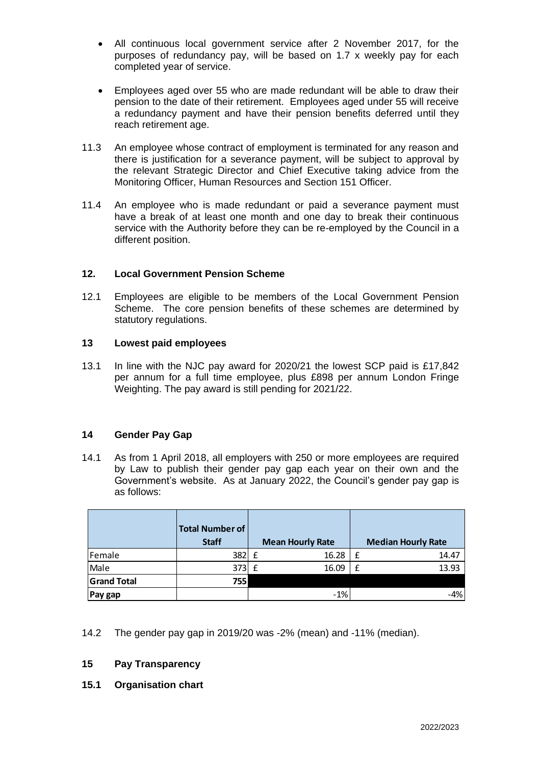- All continuous local government service after 2 November 2017, for the purposes of redundancy pay, will be based on 1.7 x weekly pay for each completed year of service.
- Employees aged over 55 who are made redundant will be able to draw their pension to the date of their retirement. Employees aged under 55 will receive a redundancy payment and have their pension benefits deferred until they reach retirement age.
- 11.3 An employee whose contract of employment is terminated for any reason and there is justification for a severance payment, will be subject to approval by the relevant Strategic Director and Chief Executive taking advice from the Monitoring Officer, Human Resources and Section 151 Officer.
- 11.4 An employee who is made redundant or paid a severance payment must have a break of at least one month and one day to break their continuous service with the Authority before they can be re-employed by the Council in a different position.

## **12. Local Government Pension Scheme**

12.1 Employees are eligible to be members of the Local Government Pension Scheme. The core pension benefits of these schemes are determined by statutory regulations.

#### **13 Lowest paid employees**

13.1 In line with the NJC pay award for 2020/21 the lowest SCP paid is £17,842 per annum for a full time employee, plus £898 per annum London Fringe Weighting. The pay award is still pending for 2021/22.

#### **14 Gender Pay Gap**

14.1 As from 1 April 2018, all employers with 250 or more employees are required by Law to publish their gender pay gap each year on their own and the Government's website. As at January 2022, the Council's gender pay gap is as follows:

|                    | <b>Total Number of</b><br><b>Staff</b> |   | <b>Mean Hourly Rate</b> | <b>Median Hourly Rate</b> |
|--------------------|----------------------------------------|---|-------------------------|---------------------------|
| Female             | 382                                    | f | 16.28                   | 14.47                     |
| Male               | 373                                    | f | 16.09                   | 13.93                     |
| <b>Grand Total</b> | 755                                    |   |                         |                           |
| Pay gap            |                                        |   | $-1%$                   | $-4%$                     |

14.2 The gender pay gap in 2019/20 was -2% (mean) and -11% (median).

#### **15 Pay Transparency**

**15.1 Organisation chart**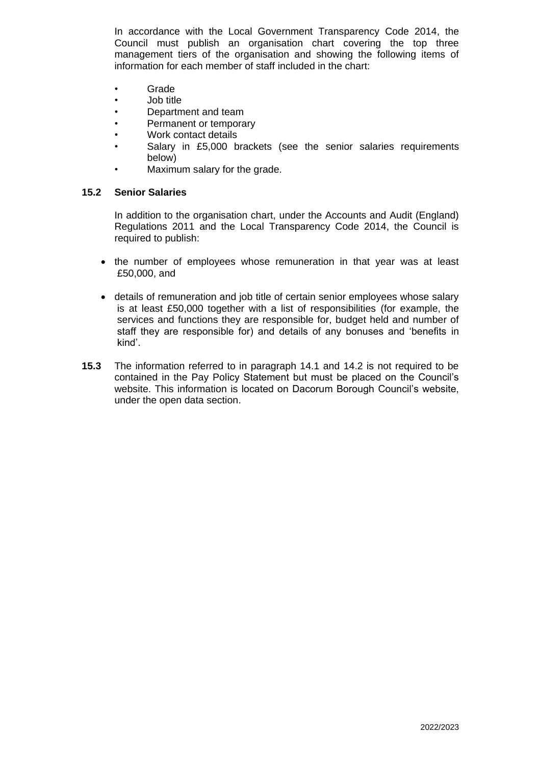In accordance with the Local Government Transparency Code 2014, the Council must publish an organisation chart covering the top three management tiers of the organisation and showing the following items of information for each member of staff included in the chart:

- Grade
- Job title
- Department and team
- Permanent or temporary
- Work contact details
- Salary in £5,000 brackets (see the senior salaries requirements below)
- Maximum salary for the grade.

#### **15.2 Senior Salaries**

In addition to the organisation chart, under the Accounts and Audit (England) Regulations 2011 and the Local Transparency Code 2014, the Council is required to publish:

- the number of employees whose remuneration in that year was at least £50,000, and
- details of remuneration and job title of certain senior employees whose salary is at least £50,000 together with a list of responsibilities (for example, the services and functions they are responsible for, budget held and number of staff they are responsible for) and details of any bonuses and 'benefits in kind'.
- **15.3** The information referred to in paragraph 14.1 and 14.2 is not required to be contained in the Pay Policy Statement but must be placed on the Council's website. This information is located on Dacorum Borough Council's website, under the open data section.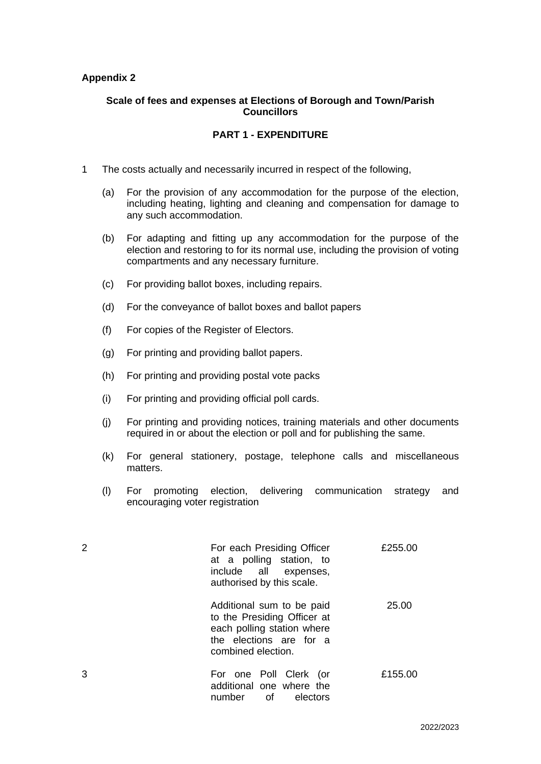#### **Appendix 2**

#### **Scale of fees and expenses at Elections of Borough and Town/Parish Councillors**

## **PART 1 - EXPENDITURE**

- 1 The costs actually and necessarily incurred in respect of the following,
	- (a) For the provision of any accommodation for the purpose of the election, including heating, lighting and cleaning and compensation for damage to any such accommodation.
	- (b) For adapting and fitting up any accommodation for the purpose of the election and restoring to for its normal use, including the provision of voting compartments and any necessary furniture.
	- (c) For providing ballot boxes, including repairs.
	- (d) For the conveyance of ballot boxes and ballot papers
	- (f) For copies of the Register of Electors.
	- (g) For printing and providing ballot papers.
	- (h) For printing and providing postal vote packs
	- (i) For printing and providing official poll cards.
	- (j) For printing and providing notices, training materials and other documents required in or about the election or poll and for publishing the same.
	- (k) For general stationery, postage, telephone calls and miscellaneous matters.
	- (l) For promoting election, delivering communication strategy and encouraging voter registration

|   | For each Presiding Officer<br>at a polling station, to<br>include all expenses,<br>authorised by this scale.                            | £255.00 |
|---|-----------------------------------------------------------------------------------------------------------------------------------------|---------|
|   | Additional sum to be paid<br>to the Presiding Officer at<br>each polling station where<br>the elections are for a<br>combined election. | 25.00   |
| З | For one Poll Clerk (or<br>additional one where the<br>number of<br>electors                                                             | £155.00 |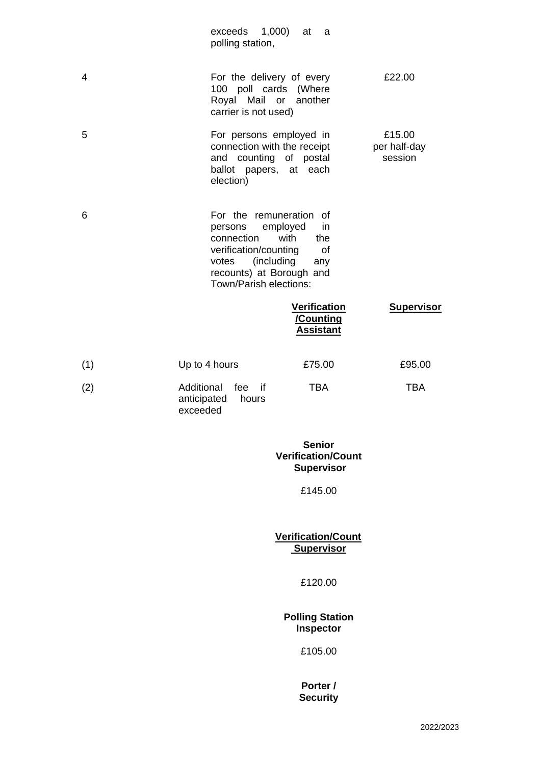|     | exceeds 1,000)<br>polling station,                                                                                                       | at<br>a                                                                                                    |                   |  |  |  |
|-----|------------------------------------------------------------------------------------------------------------------------------------------|------------------------------------------------------------------------------------------------------------|-------------------|--|--|--|
| 4   |                                                                                                                                          | For the delivery of every<br>100 poll cards (Where<br>Royal Mail or<br>another<br>carrier is not used)     |                   |  |  |  |
| 5   | election)                                                                                                                                | For persons employed in<br>connection with the receipt<br>and counting of postal<br>ballot papers, at each |                   |  |  |  |
| 6   | For the remuneration of<br>persons<br>connection<br>verification/counting<br>votes<br>recounts) at Borough and<br>Town/Parish elections: | employed<br>in<br>with<br>the<br>of<br>(including<br>any                                                   |                   |  |  |  |
|     |                                                                                                                                          | <b>Verification</b><br>/Counting<br><b>Assistant</b>                                                       | <b>Supervisor</b> |  |  |  |
| (1) | Up to 4 hours                                                                                                                            | £75.00                                                                                                     | £95.00            |  |  |  |
| (2) | Additional<br>fee<br>if<br>anticipated<br>hours<br>exceeded                                                                              | <b>TBA</b>                                                                                                 | <b>TBA</b>        |  |  |  |
|     |                                                                                                                                          | <b>Senior</b><br><b>Verification/Count</b><br><b>Supervisor</b>                                            |                   |  |  |  |
|     |                                                                                                                                          | £145.00                                                                                                    |                   |  |  |  |
|     |                                                                                                                                          | <b>Verification/Count</b><br><b>Supervisor</b>                                                             |                   |  |  |  |
|     |                                                                                                                                          | £120.00                                                                                                    |                   |  |  |  |
|     |                                                                                                                                          | <b>Polling Station</b><br>Inspector                                                                        |                   |  |  |  |
|     |                                                                                                                                          | £105.00                                                                                                    |                   |  |  |  |
|     |                                                                                                                                          | Porter /<br><b>Security</b>                                                                                |                   |  |  |  |
|     |                                                                                                                                          |                                                                                                            | 00000             |  |  |  |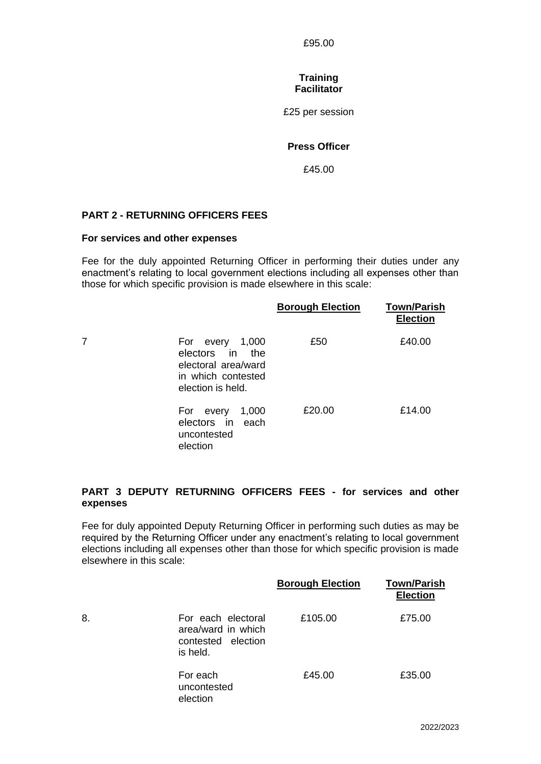£95.00

#### **Training Facilitator**

£25 per session

## **Press Officer**

£45.00

#### **PART 2 - RETURNING OFFICERS FEES**

#### **For services and other expenses**

Fee for the duly appointed Returning Officer in performing their duties under any enactment's relating to local government elections including all expenses other than those for which specific provision is made elsewhere in this scale:

|                                                                                                         | <b>Borough Election</b> | <b>Town/Parish</b><br><b>Election</b> |
|---------------------------------------------------------------------------------------------------------|-------------------------|---------------------------------------|
| 1,000<br>For every<br>electors in the<br>electoral area/ward<br>in which contested<br>election is held. | £50                     | £40.00                                |
| 1,000<br>For every<br>electors in<br>each<br>uncontested<br>election                                    | £20.00                  | £14.00                                |

## **PART 3 DEPUTY RETURNING OFFICERS FEES - for services and other expenses**

Fee for duly appointed Deputy Returning Officer in performing such duties as may be required by the Returning Officer under any enactment's relating to local government elections including all expenses other than those for which specific provision is made elsewhere in this scale:

|    |                                                                            | <b>Borough Election</b> | <b>Town/Parish</b><br><b>Election</b> |
|----|----------------------------------------------------------------------------|-------------------------|---------------------------------------|
| 8. | For each electoral<br>area/ward in which<br>contested election<br>is held. | £105.00                 | £75.00                                |
|    | For each<br>uncontested<br>election                                        | £45.00                  | £35.00                                |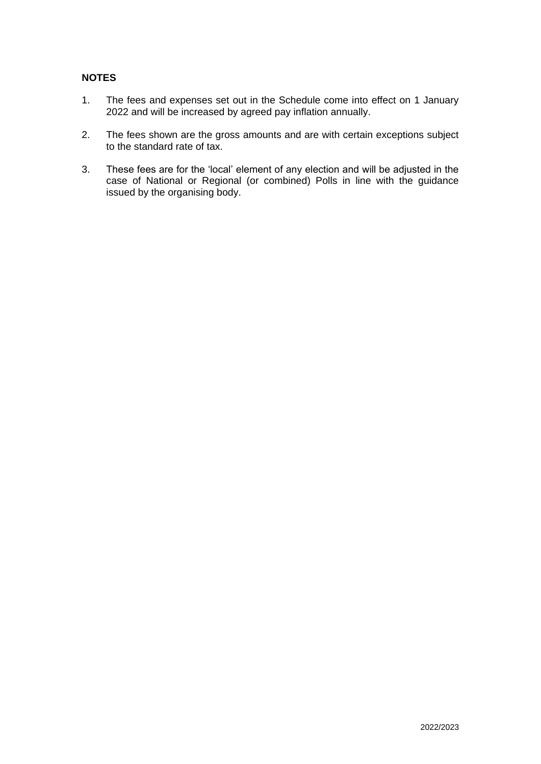## **NOTES**

- 1. The fees and expenses set out in the Schedule come into effect on 1 January 2022 and will be increased by agreed pay inflation annually.
- 2. The fees shown are the gross amounts and are with certain exceptions subject to the standard rate of tax.
- 3. These fees are for the 'local' element of any election and will be adjusted in the case of National or Regional (or combined) Polls in line with the guidance issued by the organising body.